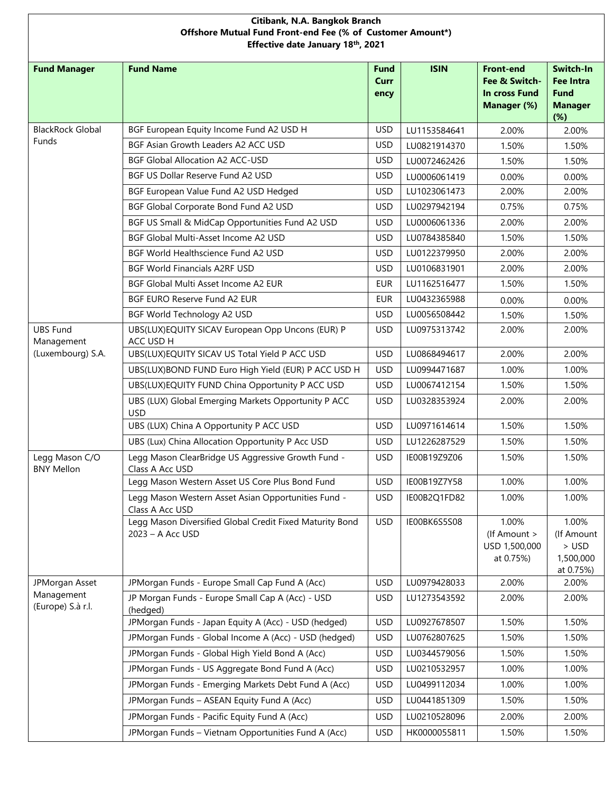| Citibank, N.A. Bangkok Branch<br>Offshore Mutual Fund Front-end Fee (% of Customer Amount*)<br>Effective date January 18th, 2021 |                                                                              |                                    |              |                                                                   |                                                                       |  |  |
|----------------------------------------------------------------------------------------------------------------------------------|------------------------------------------------------------------------------|------------------------------------|--------------|-------------------------------------------------------------------|-----------------------------------------------------------------------|--|--|
| <b>Fund Manager</b>                                                                                                              | <b>Fund Name</b>                                                             | <b>Fund</b><br><b>Curr</b><br>ency | <b>ISIN</b>  | <b>Front-end</b><br>Fee & Switch-<br>In cross Fund<br>Manager (%) | Switch-In<br><b>Fee Intra</b><br><b>Fund</b><br><b>Manager</b><br>(%) |  |  |
| <b>BlackRock Global</b>                                                                                                          | BGF European Equity Income Fund A2 USD H                                     | <b>USD</b>                         | LU1153584641 | 2.00%                                                             | 2.00%                                                                 |  |  |
| Funds                                                                                                                            | BGF Asian Growth Leaders A2 ACC USD                                          | <b>USD</b>                         | LU0821914370 | 1.50%                                                             | 1.50%                                                                 |  |  |
|                                                                                                                                  | <b>BGF Global Allocation A2 ACC-USD</b>                                      | <b>USD</b>                         | LU0072462426 | 1.50%                                                             | 1.50%                                                                 |  |  |
|                                                                                                                                  | BGF US Dollar Reserve Fund A2 USD                                            | <b>USD</b>                         | LU0006061419 | 0.00%                                                             | $0.00\%$                                                              |  |  |
|                                                                                                                                  | BGF European Value Fund A2 USD Hedged                                        | <b>USD</b>                         | LU1023061473 | 2.00%                                                             | 2.00%                                                                 |  |  |
|                                                                                                                                  | BGF Global Corporate Bond Fund A2 USD                                        | <b>USD</b>                         | LU0297942194 | 0.75%                                                             | 0.75%                                                                 |  |  |
|                                                                                                                                  | BGF US Small & MidCap Opportunities Fund A2 USD                              | <b>USD</b>                         | LU0006061336 | 2.00%                                                             | 2.00%                                                                 |  |  |
|                                                                                                                                  | BGF Global Multi-Asset Income A2 USD                                         | <b>USD</b>                         | LU0784385840 | 1.50%                                                             | 1.50%                                                                 |  |  |
|                                                                                                                                  | BGF World Healthscience Fund A2 USD                                          | <b>USD</b>                         | LU0122379950 | 2.00%                                                             | 2.00%                                                                 |  |  |
|                                                                                                                                  | <b>BGF World Financials A2RF USD</b>                                         | <b>USD</b>                         | LU0106831901 | 2.00%                                                             | 2.00%                                                                 |  |  |
|                                                                                                                                  | BGF Global Multi Asset Income A2 EUR                                         | <b>EUR</b>                         | LU1162516477 | 1.50%                                                             | 1.50%                                                                 |  |  |
|                                                                                                                                  | BGF EURO Reserve Fund A2 EUR                                                 | <b>EUR</b>                         | LU0432365988 | 0.00%                                                             | 0.00%                                                                 |  |  |
|                                                                                                                                  | BGF World Technology A2 USD                                                  | <b>USD</b>                         | LU0056508442 | 1.50%                                                             | 1.50%                                                                 |  |  |
| <b>UBS Fund</b><br>Management                                                                                                    | UBS(LUX)EQUITY SICAV European Opp Uncons (EUR) P<br>ACC USD H                | <b>USD</b>                         | LU0975313742 | 2.00%                                                             | 2.00%                                                                 |  |  |
| (Luxembourg) S.A.                                                                                                                | UBS(LUX)EQUITY SICAV US Total Yield P ACC USD                                | <b>USD</b>                         | LU0868494617 | 2.00%                                                             | 2.00%                                                                 |  |  |
|                                                                                                                                  | UBS(LUX)BOND FUND Euro High Yield (EUR) P ACC USD H                          | <b>USD</b>                         | LU0994471687 | 1.00%                                                             | 1.00%                                                                 |  |  |
|                                                                                                                                  | UBS(LUX)EQUITY FUND China Opportunity P ACC USD                              | <b>USD</b>                         | LU0067412154 | 1.50%                                                             | 1.50%                                                                 |  |  |
|                                                                                                                                  | UBS (LUX) Global Emerging Markets Opportunity P ACC<br><b>USD</b>            | <b>USD</b>                         | LU0328353924 | 2.00%                                                             | 2.00%                                                                 |  |  |
|                                                                                                                                  | UBS (LUX) China A Opportunity P ACC USD                                      | <b>USD</b>                         | LU0971614614 | 1.50%                                                             | 1.50%                                                                 |  |  |
|                                                                                                                                  | UBS (Lux) China Allocation Opportunity P Acc USD                             | <b>USD</b>                         | LU1226287529 | 1.50%                                                             | 1.50%                                                                 |  |  |
| Legg Mason C/O<br><b>BNY Mellon</b>                                                                                              | Legg Mason ClearBridge US Aggressive Growth Fund -<br>Class A Acc USD        | <b>USD</b>                         | IE00B19Z9Z06 | 1.50%                                                             | 1.50%                                                                 |  |  |
|                                                                                                                                  | Legg Mason Western Asset US Core Plus Bond Fund                              | <b>USD</b>                         | IE00B19Z7Y58 | 1.00%                                                             | 1.00%                                                                 |  |  |
|                                                                                                                                  | Legg Mason Western Asset Asian Opportunities Fund -<br>Class A Acc USD       | <b>USD</b>                         | IE00B2Q1FD82 | 1.00%                                                             | 1.00%                                                                 |  |  |
|                                                                                                                                  | Legg Mason Diversified Global Credit Fixed Maturity Bond<br>2023 - A Acc USD | <b>USD</b>                         | IE00BK6S5S08 | 1.00%<br>(If Amount ><br>USD 1,500,000<br>at 0.75%)               | 1.00%<br>(If Amount<br>$>$ USD<br>1,500,000<br>at 0.75%)              |  |  |
| JPMorgan Asset                                                                                                                   | JPMorgan Funds - Europe Small Cap Fund A (Acc)                               | <b>USD</b>                         | LU0979428033 | 2.00%                                                             | 2.00%                                                                 |  |  |
| Management<br>(Europe) S.à r.l.                                                                                                  | JP Morgan Funds - Europe Small Cap A (Acc) - USD<br>(hedged)                 | <b>USD</b>                         | LU1273543592 | 2.00%                                                             | 2.00%                                                                 |  |  |
|                                                                                                                                  | JPMorgan Funds - Japan Equity A (Acc) - USD (hedged)                         | <b>USD</b>                         | LU0927678507 | 1.50%                                                             | 1.50%                                                                 |  |  |
|                                                                                                                                  | JPMorgan Funds - Global Income A (Acc) - USD (hedged)                        | <b>USD</b>                         | LU0762807625 | 1.50%                                                             | 1.50%                                                                 |  |  |
|                                                                                                                                  | JPMorgan Funds - Global High Yield Bond A (Acc)                              | <b>USD</b>                         | LU0344579056 | 1.50%                                                             | 1.50%                                                                 |  |  |
|                                                                                                                                  | JPMorgan Funds - US Aggregate Bond Fund A (Acc)                              | <b>USD</b>                         | LU0210532957 | 1.00%                                                             | 1.00%                                                                 |  |  |
|                                                                                                                                  | JPMorgan Funds - Emerging Markets Debt Fund A (Acc)                          | <b>USD</b>                         | LU0499112034 | 1.00%                                                             | 1.00%                                                                 |  |  |
|                                                                                                                                  | JPMorgan Funds - ASEAN Equity Fund A (Acc)                                   | <b>USD</b>                         | LU0441851309 | 1.50%                                                             | 1.50%                                                                 |  |  |
|                                                                                                                                  | JPMorgan Funds - Pacific Equity Fund A (Acc)                                 | <b>USD</b>                         | LU0210528096 | 2.00%                                                             | 2.00%                                                                 |  |  |
|                                                                                                                                  | JPMorgan Funds - Vietnam Opportunities Fund A (Acc)                          | <b>USD</b>                         | HK0000055811 | 1.50%                                                             | 1.50%                                                                 |  |  |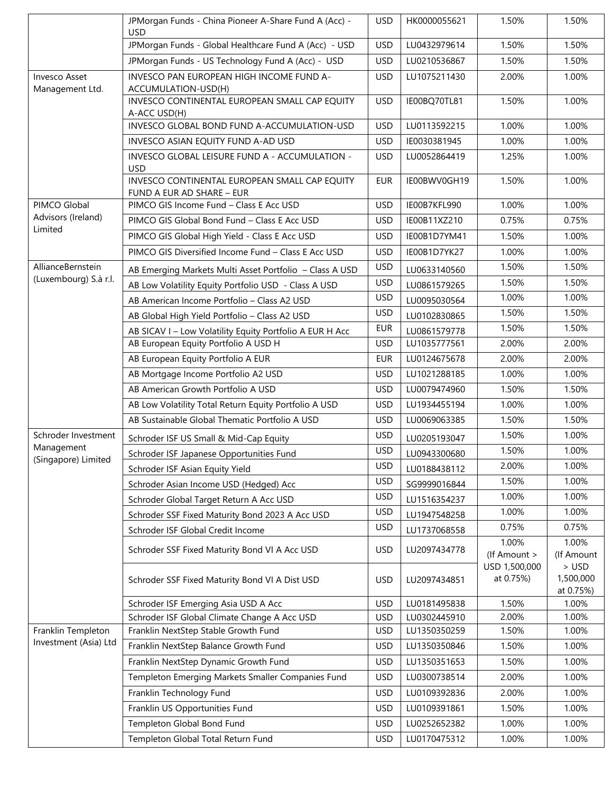|                                             | JPMorgan Funds - China Pioneer A-Share Fund A (Acc) -                      | <b>USD</b> | HK0000055621 | 1.50%                      | 1.50%                           |
|---------------------------------------------|----------------------------------------------------------------------------|------------|--------------|----------------------------|---------------------------------|
|                                             | <b>USD</b><br>JPMorgan Funds - Global Healthcare Fund A (Acc) - USD        | <b>USD</b> | LU0432979614 | 1.50%                      | 1.50%                           |
|                                             | JPMorgan Funds - US Technology Fund A (Acc) - USD                          | <b>USD</b> | LU0210536867 | 1.50%                      | 1.50%                           |
| <b>Invesco Asset</b><br>Management Ltd.     | INVESCO PAN EUROPEAN HIGH INCOME FUND A-<br>ACCUMULATION-USD(H)            | <b>USD</b> | LU1075211430 | 2.00%                      | 1.00%                           |
|                                             | INVESCO CONTINENTAL EUROPEAN SMALL CAP EQUITY<br>A-ACC USD(H)              | <b>USD</b> | IE00BQ70TL81 | 1.50%                      | 1.00%                           |
|                                             | INVESCO GLOBAL BOND FUND A-ACCUMULATION-USD                                | <b>USD</b> | LU0113592215 | 1.00%                      | 1.00%                           |
|                                             | INVESCO ASIAN EQUITY FUND A-AD USD                                         | <b>USD</b> | IE0030381945 | 1.00%                      | 1.00%                           |
|                                             | INVESCO GLOBAL LEISURE FUND A - ACCUMULATION -<br><b>USD</b>               | <b>USD</b> | LU0052864419 | 1.25%                      | 1.00%                           |
|                                             | INVESCO CONTINENTAL EUROPEAN SMALL CAP EQUITY<br>FUND A EUR AD SHARE - EUR | <b>EUR</b> | IE00BWV0GH19 | 1.50%                      | 1.00%                           |
| PIMCO Global                                | PIMCO GIS Income Fund - Class E Acc USD                                    | <b>USD</b> | IE00B7KFL990 | 1.00%                      | 1.00%                           |
| Advisors (Ireland)<br>Limited               | PIMCO GIS Global Bond Fund - Class E Acc USD                               | <b>USD</b> | IE00B11XZ210 | 0.75%                      | 0.75%                           |
|                                             | PIMCO GIS Global High Yield - Class E Acc USD                              | <b>USD</b> | IE00B1D7YM41 | 1.50%                      | 1.00%                           |
|                                             | PIMCO GIS Diversified Income Fund - Class E Acc USD                        | <b>USD</b> | IE00B1D7YK27 | 1.00%                      | 1.00%                           |
| AllianceBernstein                           | AB Emerging Markets Multi Asset Portfolio - Class A USD                    | <b>USD</b> | LU0633140560 | 1.50%                      | 1.50%                           |
| (Luxembourg) S.à r.l.                       | AB Low Volatility Equity Portfolio USD - Class A USD                       | <b>USD</b> | LU0861579265 | 1.50%                      | 1.50%                           |
|                                             | AB American Income Portfolio - Class A2 USD                                | <b>USD</b> | LU0095030564 | 1.00%                      | 1.00%                           |
|                                             | AB Global High Yield Portfolio - Class A2 USD                              | <b>USD</b> | LU0102830865 | 1.50%                      | 1.50%                           |
|                                             | AB SICAV I - Low Volatility Equity Portfolio A EUR H Acc                   | <b>EUR</b> | LU0861579778 | 1.50%                      | 1.50%                           |
|                                             | AB European Equity Portfolio A USD H                                       | <b>USD</b> | LU1035777561 | 2.00%                      | 2.00%                           |
|                                             | AB European Equity Portfolio A EUR                                         | EUR        | LU0124675678 | 2.00%                      | 2.00%                           |
|                                             | AB Mortgage Income Portfolio A2 USD                                        | <b>USD</b> | LU1021288185 | 1.00%                      | 1.00%                           |
|                                             | AB American Growth Portfolio A USD                                         | <b>USD</b> | LU0079474960 | 1.50%                      | 1.50%                           |
|                                             | AB Low Volatility Total Return Equity Portfolio A USD                      | <b>USD</b> | LU1934455194 | 1.00%                      | 1.00%                           |
|                                             | AB Sustainable Global Thematic Portfolio A USD                             | <b>USD</b> | LU0069063385 | 1.50%                      | 1.50%                           |
| Schroder Investment                         | Schroder ISF US Small & Mid-Cap Equity                                     | <b>USD</b> | LU0205193047 | 1.50%                      | 1.00%                           |
| Management                                  | Schroder ISF Japanese Opportunities Fund                                   | <b>USD</b> | LU0943300680 | 1.50%                      | 1.00%                           |
| (Singapore) Limited                         | Schroder ISF Asian Equity Yield                                            | <b>USD</b> | LU0188438112 | 2.00%                      | 1.00%                           |
|                                             | Schroder Asian Income USD (Hedged) Acc                                     | <b>USD</b> | SG9999016844 | 1.50%                      | 1.00%                           |
|                                             | Schroder Global Target Return A Acc USD                                    | <b>USD</b> | LU1516354237 | 1.00%                      | 1.00%                           |
|                                             | Schroder SSF Fixed Maturity Bond 2023 A Acc USD                            | <b>USD</b> | LU1947548258 | 1.00%                      | 1.00%                           |
|                                             | Schroder ISF Global Credit Income                                          | <b>USD</b> | LU1737068558 | 0.75%                      | 0.75%                           |
|                                             | Schroder SSF Fixed Maturity Bond VI A Acc USD                              | <b>USD</b> | LU2097434778 | 1.00%<br>(If Amount >      | 1.00%<br>(If Amount             |
|                                             | Schroder SSF Fixed Maturity Bond VI A Dist USD                             | <b>USD</b> | LU2097434851 | USD 1,500,000<br>at 0.75%) | > USD<br>1,500,000<br>at 0.75%) |
|                                             | Schroder ISF Emerging Asia USD A Acc                                       | <b>USD</b> | LU0181495838 | 1.50%                      | 1.00%                           |
|                                             | Schroder ISF Global Climate Change A Acc USD                               | <b>USD</b> | LU0302445910 | 2.00%                      | 1.00%                           |
| Franklin Templeton<br>Investment (Asia) Ltd | Franklin NextStep Stable Growth Fund                                       | <b>USD</b> | LU1350350259 | 1.50%                      | 1.00%                           |
|                                             | Franklin NextStep Balance Growth Fund                                      | <b>USD</b> | LU1350350846 | 1.50%                      | 1.00%                           |
|                                             | Franklin NextStep Dynamic Growth Fund                                      | <b>USD</b> | LU1350351653 | 1.50%                      | 1.00%                           |
|                                             | Templeton Emerging Markets Smaller Companies Fund                          | <b>USD</b> | LU0300738514 | 2.00%                      | 1.00%                           |
|                                             | Franklin Technology Fund                                                   | <b>USD</b> | LU0109392836 | 2.00%                      | 1.00%                           |
|                                             | Franklin US Opportunities Fund                                             | <b>USD</b> | LU0109391861 | 1.50%                      | 1.00%                           |
|                                             | Templeton Global Bond Fund                                                 | <b>USD</b> | LU0252652382 | 1.00%                      | 1.00%                           |
|                                             | Templeton Global Total Return Fund                                         | <b>USD</b> | LU0170475312 | 1.00%                      | 1.00%                           |